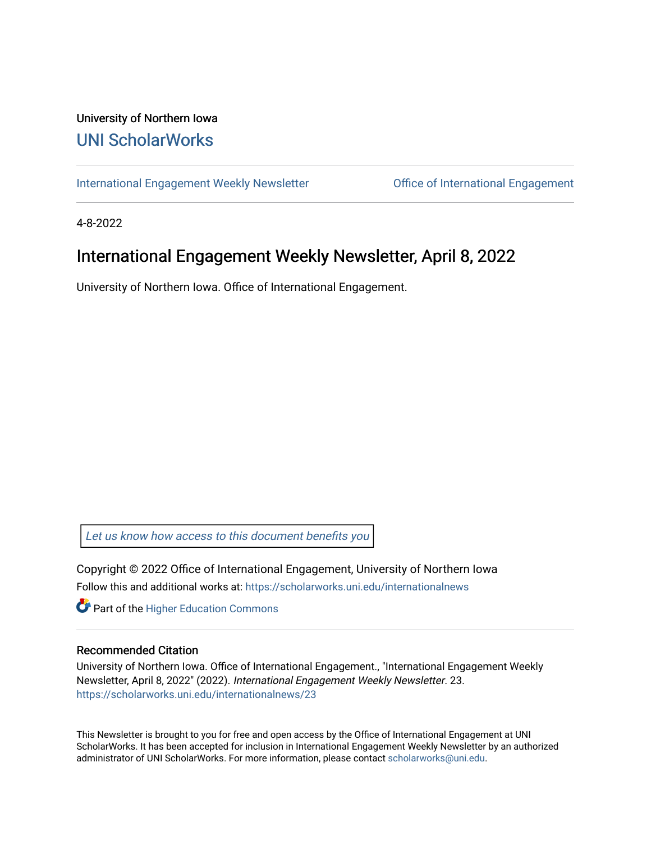#### University of Northern Iowa [UNI ScholarWorks](https://scholarworks.uni.edu/)

[International Engagement Weekly Newsletter](https://scholarworks.uni.edu/internationalnews) **Conservational Engagement** Office of International Engagement

4-8-2022

# International Engagement Weekly Newsletter, April 8, 2022

University of Northern Iowa. Office of International Engagement.

[Let us know how access to this document benefits you](https://scholarworks.uni.edu/feedback_form.html) 

Copyright © 2022 Office of International Engagement, University of Northern Iowa Follow this and additional works at: [https://scholarworks.uni.edu/internationalnews](https://scholarworks.uni.edu/internationalnews?utm_source=scholarworks.uni.edu%2Finternationalnews%2F23&utm_medium=PDF&utm_campaign=PDFCoverPages)

**Part of the Higher Education Commons** 

#### Recommended Citation

University of Northern Iowa. Office of International Engagement., "International Engagement Weekly Newsletter, April 8, 2022" (2022). International Engagement Weekly Newsletter. 23. [https://scholarworks.uni.edu/internationalnews/23](https://scholarworks.uni.edu/internationalnews/23?utm_source=scholarworks.uni.edu%2Finternationalnews%2F23&utm_medium=PDF&utm_campaign=PDFCoverPages) 

This Newsletter is brought to you for free and open access by the Office of International Engagement at UNI ScholarWorks. It has been accepted for inclusion in International Engagement Weekly Newsletter by an authorized administrator of UNI ScholarWorks. For more information, please contact [scholarworks@uni.edu](mailto:scholarworks@uni.edu).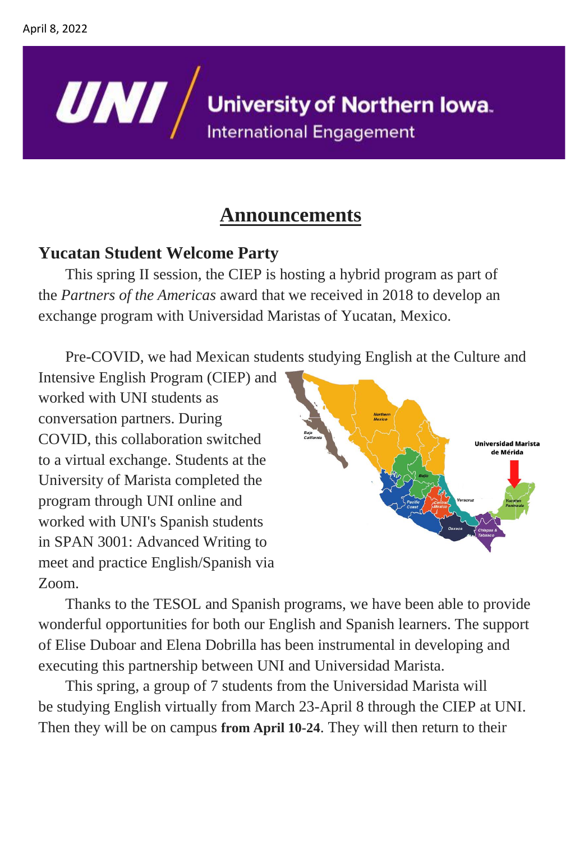

### **Announcements**

#### **Yucatan Student Welcome Party**

This spring II session, the CIEP is hosting a hybrid program as part of the *Partners of the Americas* award that we received in 2018 to develop an exchange program with Universidad Maristas of Yucatan, Mexico.

Pre-COVID, we had Mexican students studying English at the Culture and

Intensive English Program (CIEP) and worked with UNI students as conversation partners. During COVID, this collaboration switched to a virtual exchange. Students at the University of Marista completed the program through UNI online and worked with UNI's Spanish students in SPAN 3001: Advanced Writing to meet and practice English/Spanish via Zoom.



 Thanks to the TESOL and Spanish programs, we have been able to provide wonderful opportunities for both our English and Spanish learners. The support of Elise Duboar and Elena Dobrilla has been instrumental in developing and executing this partnership between UNI and Universidad Marista.

 This spring, a group of 7 students from the Universidad Marista will be studying English virtually from March 23-April 8 through the CIEP at UNI. Then they will be on campus **from April 10-24**. They will then return to their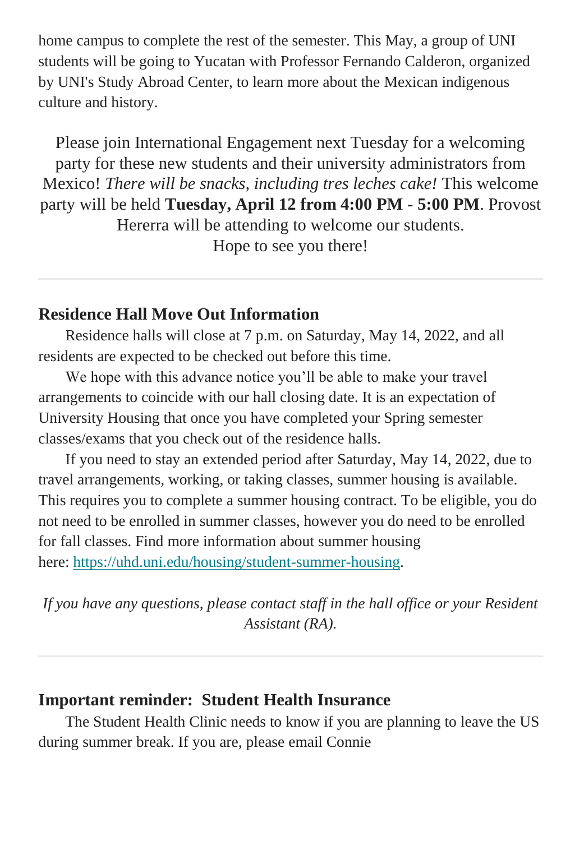home campus to complete the rest of the semester. This May, a group of UNI students will be going to Yucatan with Professor Fernando Calderon, organized by UNI's Study Abroad Center, to learn more about the Mexican indigenous culture and history.

Please join International Engagement next Tuesday for a welcoming party for these new students and their university administrators from Mexico! *There will be snacks, including tres leches cake!* This welcome party will be held **Tuesday, April 12 from 4:00 PM - 5:00 PM**. Provost Hererra will be attending to welcome our students. Hope to see you there!

#### **Residence Hall Move Out Information**

Residence halls will close at 7 p.m. on Saturday, May 14, 2022, and all residents are expected to be checked out before this time.

We hope with this advance notice you'll be able to make your travel arrangements to coincide with our hall closing date. It is an expectation of University Housing that once you have completed your Spring semester classes/exams that you check out of the residence halls.

If you need to stay an extended period after Saturday, May 14, 2022, due to travel arrangements, working, or taking classes, summer housing is available. This requires you to complete a summer housing contract. To be eligible, you do not need to be enrolled in summer classes, however you do need to be enrolled for fall classes. Find more information about summer housing here: [https://uhd.uni.edu/housing/student-summer-housing.](https://uhd.uni.edu/housing/student-summer-housing)

*If you have any questions, please contact staff in the hall office or your Resident Assistant (RA).*

#### **Important reminder: Student Health Insurance**

 The Student Health Clinic needs to know if you are planning to leave the US during summer break. If you are, please email Connie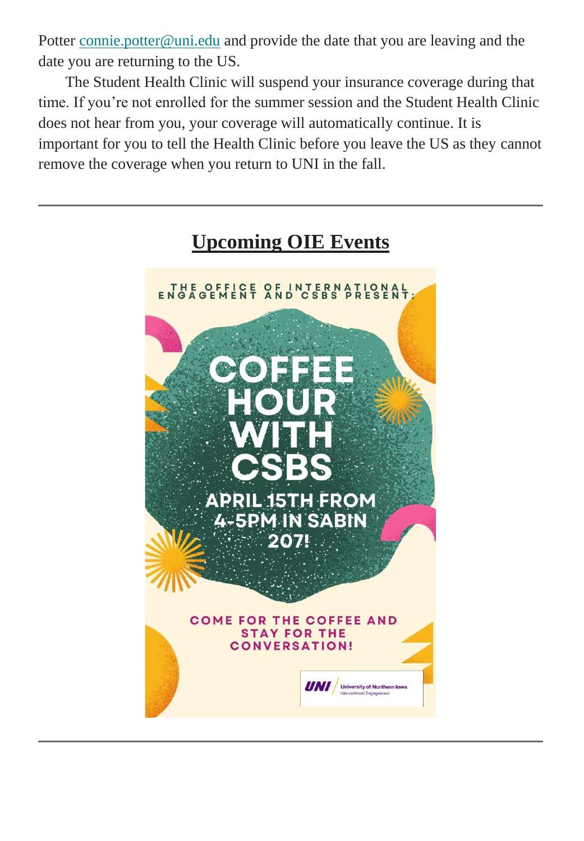Potter [connie.potter@uni.edu](mailto:connie.potter@uni.edu) and provide the date that you are leaving and the date you are returning to the US.

 The Student Health Clinic will suspend your insurance coverage during that time. If you're not enrolled for the summer session and the Student Health Clinic does not hear from you, your coverage will automatically continue. It is important for you to tell the Health Clinic before you leave the US as they cannot remove the coverage when you return to UNI in the fall.

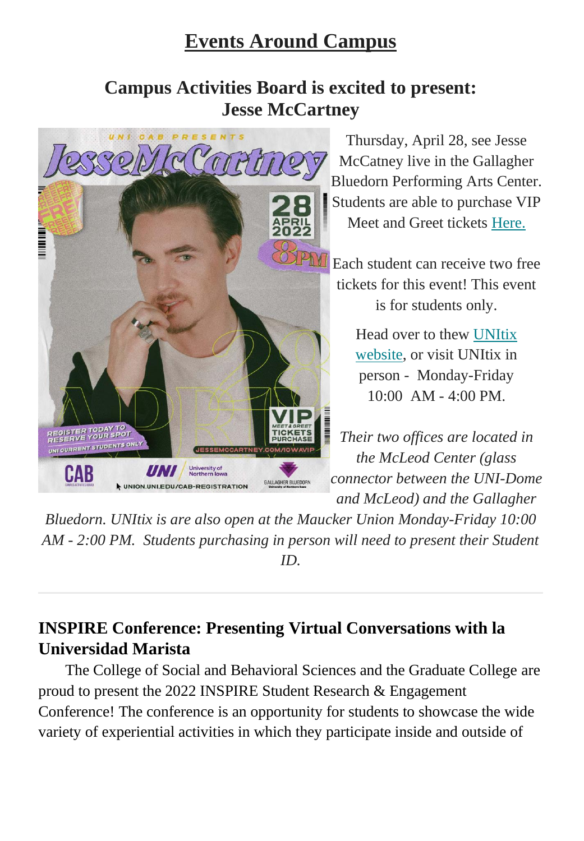# **Events Around Campus**

# **Campus Activities Board is excited to present: Jesse McCartney**



Thursday, April 28, see Jesse McCatney live in the Gallagher Bluedorn Performing Arts Center. Students are able to purchase VIP Meet and Greet tickets [Here.](http://jessemccartney.com/iowavip)

Each student can receive two free tickets for this event! This event is for students only.

> Head over to thew [UNItix](https://uni.us20.list-manage.com/track/click?u=943384cafb9f41e0a12bbd624&id=70ffdf3a42&e=0fc09bf0ff)  [website,](https://uni.us20.list-manage.com/track/click?u=943384cafb9f41e0a12bbd624&id=70ffdf3a42&e=0fc09bf0ff) or visit UNItix in person - Monday-Friday 10:00 AM - 4:00 PM.

*Their two offices are located in the McLeod Center (glass connector between the UNI-Dome and McLeod) and the Gallagher* 

*Bluedorn. UNItix is are also open at the Maucker Union Monday-Friday 10:00 AM - 2:00 PM. Students purchasing in person will need to present their Student ID.*

### **INSPIRE Conference: Presenting Virtual Conversations with la Universidad Marista**

 The College of Social and Behavioral Sciences and the Graduate College are proud to present the 2022 INSPIRE Student Research & Engagement Conference! The conference is an opportunity for students to showcase the wide variety of experiential activities in which they participate inside and outside of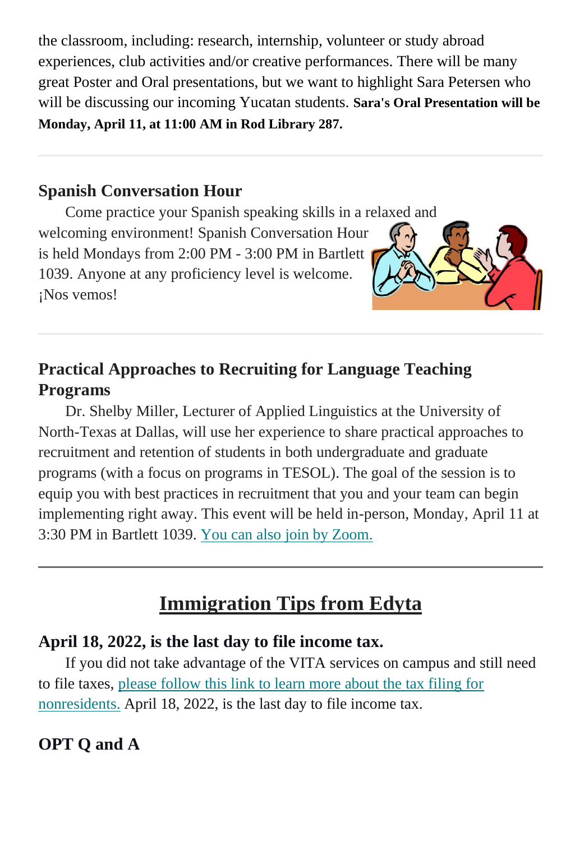the classroom, including: research, internship, volunteer or study abroad experiences, club activities and/or creative performances. There will be many great Poster and Oral presentations, but we want to highlight Sara Petersen who will be discussing our incoming Yucatan students. **Sara's Oral Presentation will be Monday, April 11, at 11:00 AM in Rod Library 287.**

### **Spanish Conversation Hour**

 Come practice your Spanish speaking skills in a relaxed and welcoming environment! Spanish Conversation Hour is held Mondays from 2:00 PM - 3:00 PM in Bartlett 1039. Anyone at any proficiency level is welcome. ¡Nos vemos!

# **Practical Approaches to Recruiting for Language Teaching Programs**

 Dr. Shelby Miller, Lecturer of Applied Linguistics at the University of North-Texas at Dallas, will use her experience to share practical approaches to recruitment and retention of students in both undergraduate and graduate programs (with a focus on programs in TESOL). The goal of the session is to equip you with best practices in recruitment that you and your team can begin implementing right away. This event will be held in-person, Monday, April 11 at 3:30 PM in Bartlett 1039. [You can also join by Zoom.](https://uni.zoom.us/j/94575204555?pwd=bDJWZHhwNEVtbkZ2V1dwM25TWEljQT09)

# **Immigration Tips from Edyta**

### **April 18, 2022, is the last day to file income tax.**

 If you did not take advantage of the VITA services on campus and still need to file taxes, [please follow this link to learn more about the tax filing for](https://register.gotowebinar.com/recording/viewRecording/5189490792566614542/215790572731682576/cheryl.klahsen@uni.edu?registrantKey=146236566651782927&type=ATTENDEEEMAILRECORDINGLINK)  [nonresidents.](https://register.gotowebinar.com/recording/viewRecording/5189490792566614542/215790572731682576/cheryl.klahsen@uni.edu?registrantKey=146236566651782927&type=ATTENDEEEMAILRECORDINGLINK) April 18, 2022, is the last day to file income tax.

# **OPT Q and A**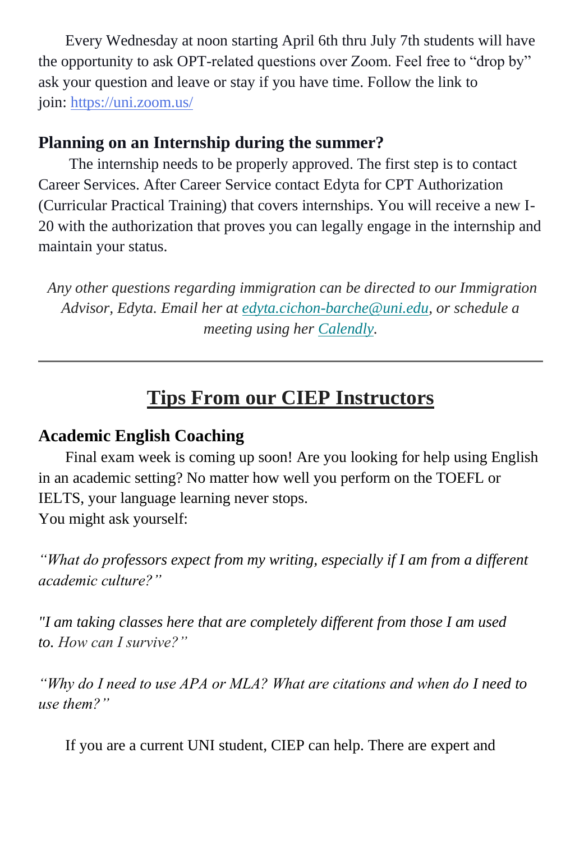Every Wednesday at noon starting April 6th thru July 7th students will have the opportunity to ask OPT-related questions over Zoom. Feel free to "drop by" ask your question and leave or stay if you have time. Follow the link to join: [https://uni.zoom.us/](https://uni.zoom.us/j/6390894546?pwd=TDFKVmVCL2JaMXF2VzRVYUV6aGRrQT09)

#### **Planning on an Internship during the summer?**

 The internship needs to be properly approved. The first step is to contact Career Services. After Career Service contact Edyta for CPT Authorization (Curricular Practical Training) that covers internships. You will receive a new I-20 with the authorization that proves you can legally engage in the internship and maintain your status.

*Any other questions regarding immigration can be directed to our Immigration Advisor, Edyta. Email her at [edyta.cichon-barche@uni.edu,](mailto:international@uni.edu) or schedule a meeting using her [Calendly.](https://uni.us20.list-manage.com/track/click?u=943384cafb9f41e0a12bbd624&id=ca64149793&e=0fc09bf0ff)*

# **Tips From our CIEP Instructors**

#### **Academic English Coaching**

 Final exam week is coming up soon! Are you looking for help using English in an academic setting? No matter how well you perform on the TOEFL or IELTS, your language learning never stops. You might ask yourself:

*"What do professors expect from my writing, especially if I am from a different academic culture?"*

*"I am taking classes here that are completely different from those I am used to. How can I survive?"*

*"Why do I need to use APA or MLA? What are citations and when do I need to use them?"*

If you are a current UNI student, CIEP can help. There are expert and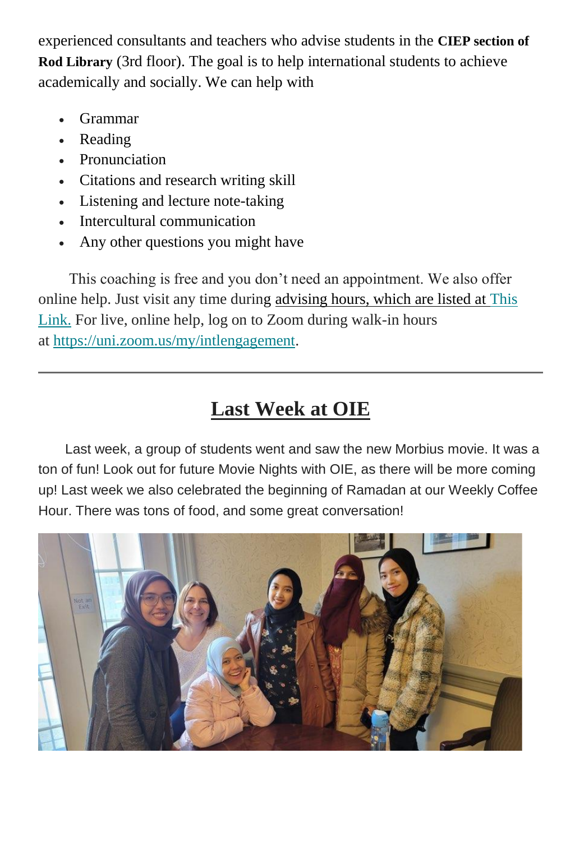experienced consultants and teachers who advise students in the **CIEP section of Rod Library** (3rd floor). The goal is to help international students to achieve academically and socially. We can help with

- Grammar
- Reading
- Pronunciation
- Citations and research writing skill
- Listening and lecture note-taking
- Intercultural communication
- Any other questions you might have

 This coaching is free and you don't need an appointment. We also offer online help. Just visit any time during [advising hours, which are listed at](https://internationalengagement.uni.edu/academic-coaching-schedule) This [Link.](https://internationalengagement.uni.edu/academic-coaching-schedule) For live, online help, log on to Zoom during walk-in hours at [https://uni.zoom.us/my/intlengagement.](https://uni.zoom.us/my/intlengagement)

# **Last Week at OIE**

 Last week, a group of students went and saw the new Morbius movie. It was a ton of fun! Look out for future Movie Nights with OIE, as there will be more coming up! Last week we also celebrated the beginning of Ramadan at our Weekly Coffee Hour. There was tons of food, and some great conversation!

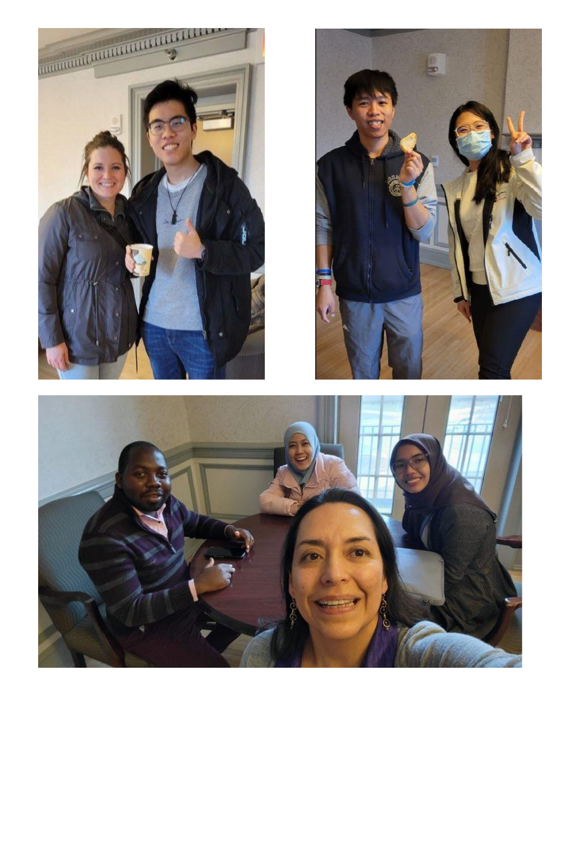